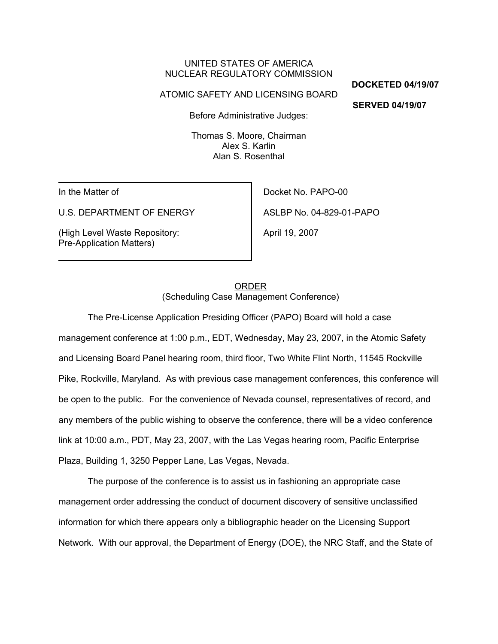# UNITED STATES OF AMERICA NUCLEAR REGULATORY COMMISSION

#### ATOMIC SAFETY AND LICENSING BOARD

**DOCKETED 04/19/07**

**SERVED 04/19/07** 

Before Administrative Judges:

Thomas S. Moore, Chairman Alex S. Karlin Alan S. Rosenthal

In the Matter of

U.S. DEPARTMENT OF ENERGY

(High Level Waste Repository: Pre-Application Matters)

Docket No. PAPO-00

ASLBP No. 04-829-01-PAPO

April 19, 2007

# ORDER (Scheduling Case Management Conference)

The Pre-License Application Presiding Officer (PAPO) Board will hold a case management conference at 1:00 p.m., EDT, Wednesday, May 23, 2007, in the Atomic Safety and Licensing Board Panel hearing room, third floor, Two White Flint North, 11545 Rockville Pike, Rockville, Maryland. As with previous case management conferences, this conference will be open to the public. For the convenience of Nevada counsel, representatives of record, and any members of the public wishing to observe the conference, there will be a video conference link at 10:00 a.m., PDT, May 23, 2007, with the Las Vegas hearing room, Pacific Enterprise Plaza, Building 1, 3250 Pepper Lane, Las Vegas, Nevada.

The purpose of the conference is to assist us in fashioning an appropriate case management order addressing the conduct of document discovery of sensitive unclassified information for which there appears only a bibliographic header on the Licensing Support Network. With our approval, the Department of Energy (DOE), the NRC Staff, and the State of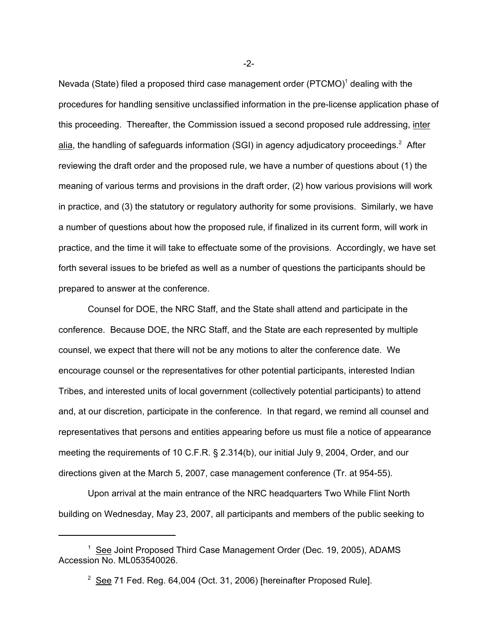Nevada (State) filed a proposed third case management order (PTCMO)<sup>1</sup> dealing with the procedures for handling sensitive unclassified information in the pre-license application phase of this proceeding. Thereafter, the Commission issued a second proposed rule addressing, inter alia, the handling of safeguards information (SGI) in agency adjudicatory proceedings.<sup>2</sup> After reviewing the draft order and the proposed rule, we have a number of questions about (1) the meaning of various terms and provisions in the draft order, (2) how various provisions will work in practice, and (3) the statutory or regulatory authority for some provisions. Similarly, we have a number of questions about how the proposed rule, if finalized in its current form, will work in practice, and the time it will take to effectuate some of the provisions. Accordingly, we have set forth several issues to be briefed as well as a number of questions the participants should be prepared to answer at the conference.

Counsel for DOE, the NRC Staff, and the State shall attend and participate in the conference. Because DOE, the NRC Staff, and the State are each represented by multiple counsel, we expect that there will not be any motions to alter the conference date. We encourage counsel or the representatives for other potential participants, interested Indian Tribes, and interested units of local government (collectively potential participants) to attend and, at our discretion, participate in the conference. In that regard, we remind all counsel and representatives that persons and entities appearing before us must file a notice of appearance meeting the requirements of 10 C.F.R. § 2.314(b), our initial July 9, 2004, Order, and our directions given at the March 5, 2007, case management conference (Tr. at 954-55).

Upon arrival at the main entrance of the NRC headquarters Two While Flint North building on Wednesday, May 23, 2007, all participants and members of the public seeking to

-2-

<sup>&</sup>lt;sup>1</sup> See Joint Proposed Third Case Management Order (Dec. 19, 2005), ADAMS Accession No. ML053540026.

 $2$  See 71 Fed. Reg. 64,004 (Oct. 31, 2006) [hereinafter Proposed Rule].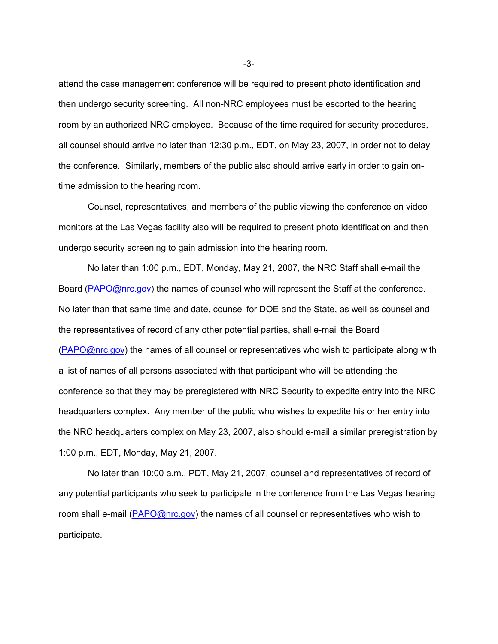attend the case management conference will be required to present photo identification and then undergo security screening. All non-NRC employees must be escorted to the hearing room by an authorized NRC employee. Because of the time required for security procedures, all counsel should arrive no later than 12:30 p.m., EDT, on May 23, 2007, in order not to delay the conference. Similarly, members of the public also should arrive early in order to gain ontime admission to the hearing room.

Counsel, representatives, and members of the public viewing the conference on video monitors at the Las Vegas facility also will be required to present photo identification and then undergo security screening to gain admission into the hearing room.

No later than 1:00 p.m., EDT, Monday, May 21, 2007, the NRC Staff shall e-mail the Board (PAPO@nrc.gov) the names of counsel who will represent the Staff at the conference. No later than that same time and date, counsel for DOE and the State, as well as counsel and the representatives of record of any other potential parties, shall e-mail the Board (PAPO@nrc.gov) the names of all counsel or representatives who wish to participate along with a list of names of all persons associated with that participant who will be attending the conference so that they may be preregistered with NRC Security to expedite entry into the NRC headquarters complex. Any member of the public who wishes to expedite his or her entry into the NRC headquarters complex on May 23, 2007, also should e-mail a similar preregistration by 1:00 p.m., EDT, Monday, May 21, 2007.

No later than 10:00 a.m., PDT, May 21, 2007, counsel and representatives of record of any potential participants who seek to participate in the conference from the Las Vegas hearing room shall e-mail (PAPO@nrc.gov) the names of all counsel or representatives who wish to participate.

-3-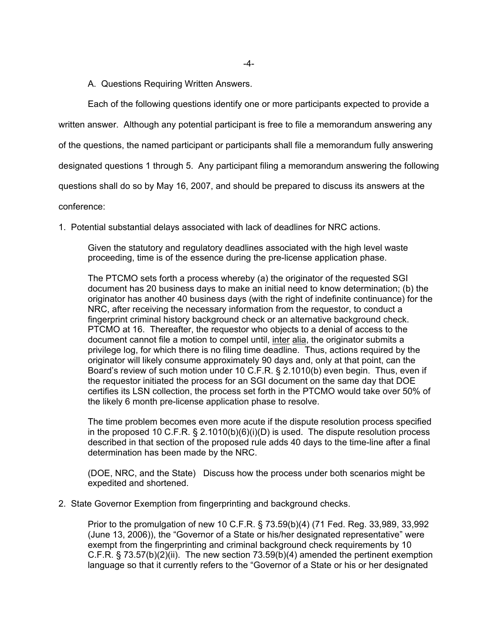A. Questions Requiring Written Answers.

Each of the following questions identify one or more participants expected to provide a

written answer. Although any potential participant is free to file a memorandum answering any

of the questions, the named participant or participants shall file a memorandum fully answering

designated questions 1 through 5. Any participant filing a memorandum answering the following

questions shall do so by May 16, 2007, and should be prepared to discuss its answers at the

conference:

1. Potential substantial delays associated with lack of deadlines for NRC actions.

Given the statutory and regulatory deadlines associated with the high level waste proceeding, time is of the essence during the pre-license application phase.

The PTCMO sets forth a process whereby (a) the originator of the requested SGI document has 20 business days to make an initial need to know determination; (b) the originator has another 40 business days (with the right of indefinite continuance) for the NRC, after receiving the necessary information from the requestor, to conduct a fingerprint criminal history background check or an alternative background check. PTCMO at 16. Thereafter, the requestor who objects to a denial of access to the document cannot file a motion to compel until, inter alia, the originator submits a privilege log, for which there is no filing time deadline. Thus, actions required by the originator will likely consume approximately 90 days and, only at that point, can the Board's review of such motion under 10 C.F.R. § 2.1010(b) even begin. Thus, even if the requestor initiated the process for an SGI document on the same day that DOE certifies its LSN collection, the process set forth in the PTCMO would take over 50% of the likely 6 month pre-license application phase to resolve.

The time problem becomes even more acute if the dispute resolution process specified in the proposed 10 C.F.R.  $\S$  2.1010(b)(6)(i)(D) is used. The dispute resolution process described in that section of the proposed rule adds 40 days to the time-line after a final determination has been made by the NRC.

(DOE, NRC, and the State) Discuss how the process under both scenarios might be expedited and shortened.

2. State Governor Exemption from fingerprinting and background checks.

Prior to the promulgation of new 10 C.F.R. § 73.59(b)(4) (71 Fed. Reg. 33,989, 33,992 (June 13, 2006)), the "Governor of a State or his/her designated representative" were exempt from the fingerprinting and criminal background check requirements by 10 C.F.R. § 73.57(b)(2)(ii). The new section 73.59(b)(4) amended the pertinent exemption language so that it currently refers to the "Governor of a State or his or her designated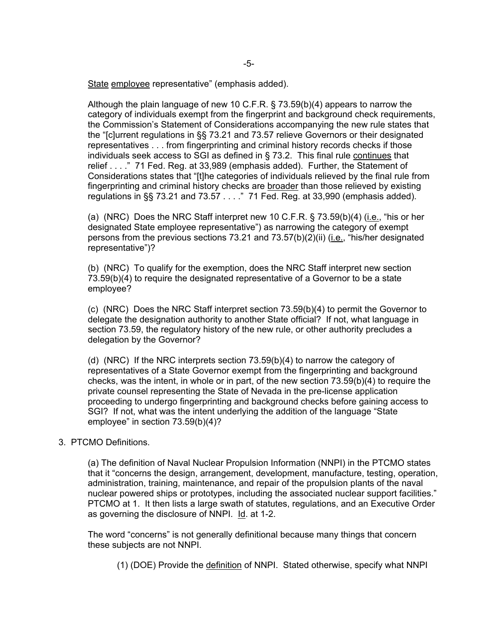State employee representative" (emphasis added).

Although the plain language of new 10 C.F.R. § 73.59(b)(4) appears to narrow the category of individuals exempt from the fingerprint and background check requirements, the Commission's Statement of Considerations accompanying the new rule states that the "[c]urrent regulations in §§ 73.21 and 73.57 relieve Governors or their designated representatives . . . from fingerprinting and criminal history records checks if those individuals seek access to SGI as defined in § 73.2. This final rule continues that relief . . . ." 71 Fed. Reg. at 33,989 (emphasis added). Further, the Statement of Considerations states that "[t]he categories of individuals relieved by the final rule from fingerprinting and criminal history checks are broader than those relieved by existing regulations in §§ 73.21 and 73.57 . . . ." 71 Fed. Reg. at 33,990 (emphasis added).

(a) (NRC) Does the NRC Staff interpret new 10 C.F.R. § 73.59(b)(4) (i.e., "his or her designated State employee representative") as narrowing the category of exempt persons from the previous sections 73.21 and 73.57(b)(2)(ii) (i.e., "his/her designated representative")?

(b) (NRC) To qualify for the exemption, does the NRC Staff interpret new section 73.59(b)(4) to require the designated representative of a Governor to be a state employee?

(c) (NRC) Does the NRC Staff interpret section 73.59(b)(4) to permit the Governor to delegate the designation authority to another State official? If not, what language in section 73.59, the regulatory history of the new rule, or other authority precludes a delegation by the Governor?

(d) (NRC) If the NRC interprets section 73.59(b)(4) to narrow the category of representatives of a State Governor exempt from the fingerprinting and background checks, was the intent, in whole or in part, of the new section 73.59(b)(4) to require the private counsel representing the State of Nevada in the pre-license application proceeding to undergo fingerprinting and background checks before gaining access to SGI? If not, what was the intent underlying the addition of the language "State employee" in section 73.59(b)(4)?

### 3. PTCMO Definitions.

(a) The definition of Naval Nuclear Propulsion Information (NNPI) in the PTCMO states that it "concerns the design, arrangement, development, manufacture, testing, operation, administration, training, maintenance, and repair of the propulsion plants of the naval nuclear powered ships or prototypes, including the associated nuclear support facilities." PTCMO at 1. It then lists a large swath of statutes, regulations, and an Executive Order as governing the disclosure of NNPI. Id. at 1-2.

The word "concerns" is not generally definitional because many things that concern these subjects are not NNPI.

(1) (DOE) Provide the definition of NNPI. Stated otherwise, specify what NNPI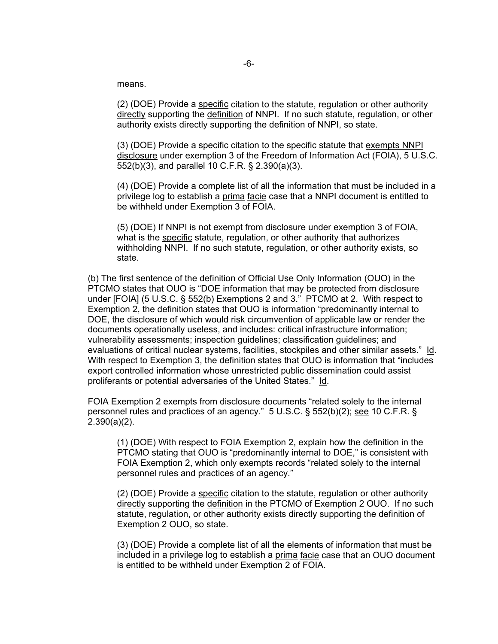means.

(2) (DOE) Provide a specific citation to the statute, regulation or other authority directly supporting the definition of NNPI. If no such statute, regulation, or other authority exists directly supporting the definition of NNPI, so state.

(3) (DOE) Provide a specific citation to the specific statute that exempts NNPI disclosure under exemption 3 of the Freedom of Information Act (FOIA), 5 U.S.C. 552(b)(3), and parallel 10 C.F.R. § 2.390(a)(3).

(4) (DOE) Provide a complete list of all the information that must be included in a privilege log to establish a prima facie case that a NNPI document is entitled to be withheld under Exemption 3 of FOIA.

(5) (DOE) If NNPI is not exempt from disclosure under exemption 3 of FOIA, what is the specific statute, regulation, or other authority that authorizes withholding NNPI. If no such statute, regulation, or other authority exists, so state.

(b) The first sentence of the definition of Official Use Only Information (OUO) in the PTCMO states that OUO is "DOE information that may be protected from disclosure under [FOIA] (5 U.S.C. § 552(b) Exemptions 2 and 3." PTCMO at 2. With respect to Exemption 2, the definition states that OUO is information "predominantly internal to DOE, the disclosure of which would risk circumvention of applicable law or render the documents operationally useless, and includes: critical infrastructure information; vulnerability assessments; inspection guidelines; classification guidelines; and evaluations of critical nuclear systems, facilities, stockpiles and other similar assets." Id. With respect to Exemption 3, the definition states that OUO is information that "includes export controlled information whose unrestricted public dissemination could assist proliferants or potential adversaries of the United States." Id.

FOIA Exemption 2 exempts from disclosure documents "related solely to the internal personnel rules and practices of an agency." 5 U.S.C. § 552(b)(2); see 10 C.F.R. § 2.390(a)(2).

(1) (DOE) With respect to FOIA Exemption 2, explain how the definition in the PTCMO stating that OUO is "predominantly internal to DOE," is consistent with FOIA Exemption 2, which only exempts records "related solely to the internal personnel rules and practices of an agency."

(2) (DOE) Provide a specific citation to the statute, regulation or other authority directly supporting the definition in the PTCMO of Exemption 2 OUO. If no such statute, regulation, or other authority exists directly supporting the definition of Exemption 2 OUO, so state.

(3) (DOE) Provide a complete list of all the elements of information that must be included in a privilege log to establish a prima facie case that an OUO document is entitled to be withheld under Exemption 2 of FOIA.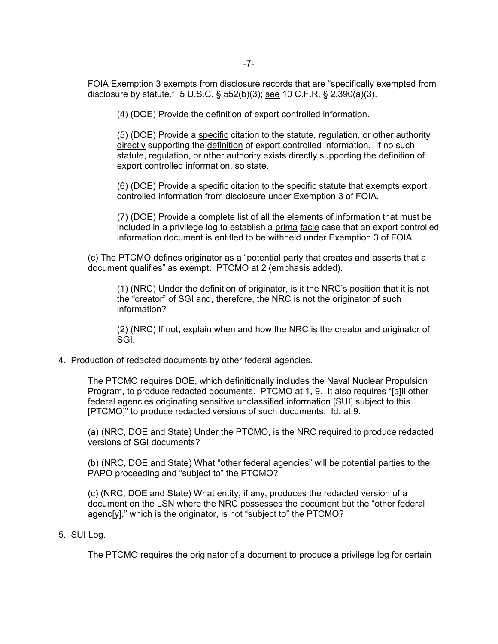FOIA Exemption 3 exempts from disclosure records that are "specifically exempted from disclosure by statute." 5 U.S.C. § 552(b)(3); see 10 C.F.R. § 2.390(a)(3).

(4) (DOE) Provide the definition of export controlled information.

(5) (DOE) Provide a specific citation to the statute, regulation, or other authority directly supporting the definition of export controlled information. If no such statute, regulation, or other authority exists directly supporting the definition of export controlled information, so state.

(6) (DOE) Provide a specific citation to the specific statute that exempts export controlled information from disclosure under Exemption 3 of FOIA.

(7) (DOE) Provide a complete list of all the elements of information that must be included in a privilege log to establish a prima facie case that an export controlled information document is entitled to be withheld under Exemption 3 of FOIA.

(c) The PTCMO defines originator as a "potential party that creates and asserts that a document qualifies" as exempt. PTCMO at 2 (emphasis added).

(1) (NRC) Under the definition of originator, is it the NRC's position that it is not the "creator" of SGI and, therefore, the NRC is not the originator of such information?

(2) (NRC) If not, explain when and how the NRC is the creator and originator of SGI.

4. Production of redacted documents by other federal agencies.

The PTCMO requires DOE, which definitionally includes the Naval Nuclear Propulsion Program, to produce redacted documents. PTCMO at 1, 9. It also requires "[a]ll other federal agencies originating sensitive unclassified information [SUI] subject to this [PTCMO]" to produce redacted versions of such documents. Id. at 9.

(a) (NRC, DOE and State) Under the PTCMO, is the NRC required to produce redacted versions of SGI documents?

(b) (NRC, DOE and State) What "other federal agencies" will be potential parties to the PAPO proceeding and "subject to" the PTCMO?

(c) (NRC, DOE and State) What entity, if any, produces the redacted version of a document on the LSN where the NRC possesses the document but the "other federal agenc[y]," which is the originator, is not "subject to" the PTCMO?

#### 5. SUI Log.

The PTCMO requires the originator of a document to produce a privilege log for certain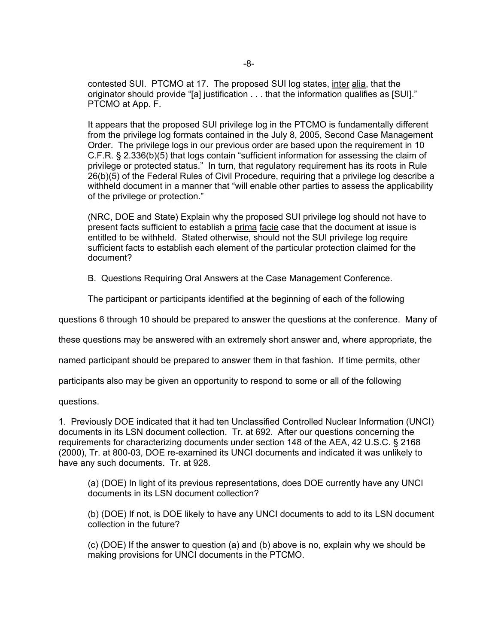contested SUI. PTCMO at 17. The proposed SUI log states, inter alia, that the originator should provide "[a] justification . . . that the information qualifies as [SUI]." PTCMO at App. F.

It appears that the proposed SUI privilege log in the PTCMO is fundamentally different from the privilege log formats contained in the July 8, 2005, Second Case Management Order. The privilege logs in our previous order are based upon the requirement in 10 C.F.R. § 2.336(b)(5) that logs contain "sufficient information for assessing the claim of privilege or protected status." In turn, that regulatory requirement has its roots in Rule 26(b)(5) of the Federal Rules of Civil Procedure, requiring that a privilege log describe a withheld document in a manner that "will enable other parties to assess the applicability of the privilege or protection."

(NRC, DOE and State) Explain why the proposed SUI privilege log should not have to present facts sufficient to establish a prima facie case that the document at issue is entitled to be withheld. Stated otherwise, should not the SUI privilege log require sufficient facts to establish each element of the particular protection claimed for the document?

B. Questions Requiring Oral Answers at the Case Management Conference.

The participant or participants identified at the beginning of each of the following

questions 6 through 10 should be prepared to answer the questions at the conference. Many of

these questions may be answered with an extremely short answer and, where appropriate, the

named participant should be prepared to answer them in that fashion. If time permits, other

participants also may be given an opportunity to respond to some or all of the following

questions.

1. Previously DOE indicated that it had ten Unclassified Controlled Nuclear Information (UNCI) documents in its LSN document collection. Tr. at 692. After our questions concerning the requirements for characterizing documents under section 148 of the AEA, 42 U.S.C. § 2168 (2000), Tr. at 800-03, DOE re-examined its UNCI documents and indicated it was unlikely to have any such documents. Tr. at 928.

(a) (DOE) In light of its previous representations, does DOE currently have any UNCI documents in its LSN document collection?

(b) (DOE) If not, is DOE likely to have any UNCI documents to add to its LSN document collection in the future?

(c) (DOE) If the answer to question (a) and (b) above is no, explain why we should be making provisions for UNCI documents in the PTCMO.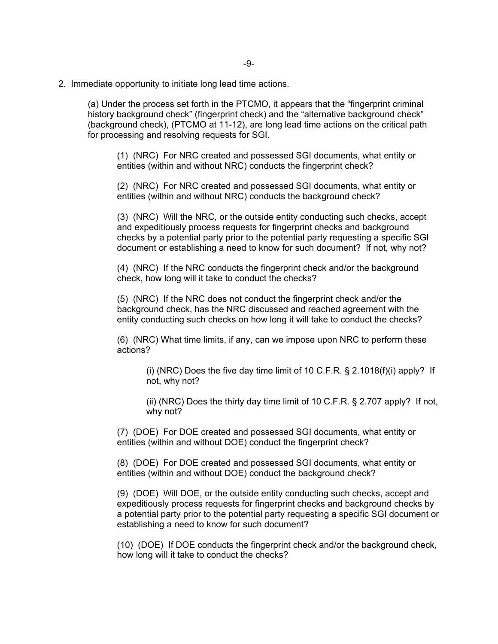2. Immediate opportunity to initiate long lead time actions.

(a) Under the process set forth in the PTCMO, it appears that the "fingerprint criminal history background check" (fingerprint check) and the "alternative background check" (background check), (PTCMO at 11-12), are long lead time actions on the critical path for processing and resolving requests for SGI.

(1) (NRC) For NRC created and possessed SGI documents, what entity or entities (within and without NRC) conducts the fingerprint check?

(2) (NRC) For NRC created and possessed SGI documents, what entity or entities (within and without NRC) conducts the background check?

(3) (NRC) Will the NRC, or the outside entity conducting such checks, accept and expeditiously process requests for fingerprint checks and background checks by a potential party prior to the potential party requesting a specific SGI document or establishing a need to know for such document? If not, why not?

(4) (NRC) If the NRC conducts the fingerprint check and/or the background check, how long will it take to conduct the checks?

(5) (NRC) If the NRC does not conduct the fingerprint check and/or the background check, has the NRC discussed and reached agreement with the entity conducting such checks on how long it will take to conduct the checks?

(6) (NRC) What time limits, if any, can we impose upon NRC to perform these actions?

(i) (NRC) Does the five day time limit of 10 C.F.R. § 2.1018(f)(i) apply? If not, why not?

(ii) (NRC) Does the thirty day time limit of 10 C.F.R. § 2.707 apply? If not, why not?

(7) (DOE) For DOE created and possessed SGI documents, what entity or entities (within and without DOE) conduct the fingerprint check?

(8) (DOE) For DOE created and possessed SGI documents, what entity or entities (within and without DOE) conduct the background check?

(9) (DOE) Will DOE, or the outside entity conducting such checks, accept and expeditiously process requests for fingerprint checks and background checks by a potential party prior to the potential party requesting a specific SGI document or establishing a need to know for such document?

(10) (DOE) If DOE conducts the fingerprint check and/or the background check, how long will it take to conduct the checks?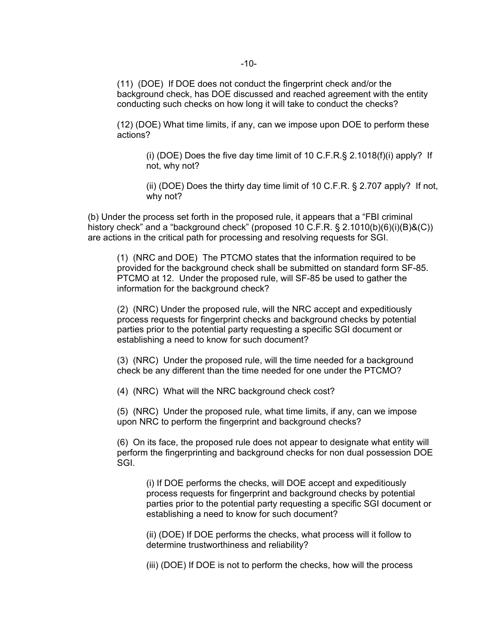(11) (DOE) If DOE does not conduct the fingerprint check and/or the background check, has DOE discussed and reached agreement with the entity conducting such checks on how long it will take to conduct the checks?

(12) (DOE) What time limits, if any, can we impose upon DOE to perform these actions?

(i) (DOE) Does the five day time limit of 10 C.F.R.§ 2.1018(f)(i) apply? If not, why not?

(ii) (DOE) Does the thirty day time limit of 10 C.F.R. § 2.707 apply? If not, why not?

(b) Under the process set forth in the proposed rule, it appears that a "FBI criminal history check" and a "background check" (proposed 10 C.F.R. § 2.1010(b)(6)(i)(B)&(C)) are actions in the critical path for processing and resolving requests for SGI.

(1) (NRC and DOE) The PTCMO states that the information required to be provided for the background check shall be submitted on standard form SF-85. PTCMO at 12. Under the proposed rule, will SF-85 be used to gather the information for the background check?

(2) (NRC) Under the proposed rule, will the NRC accept and expeditiously process requests for fingerprint checks and background checks by potential parties prior to the potential party requesting a specific SGI document or establishing a need to know for such document?

(3) (NRC) Under the proposed rule, will the time needed for a background check be any different than the time needed for one under the PTCMO?

(4) (NRC) What will the NRC background check cost?

(5) (NRC) Under the proposed rule, what time limits, if any, can we impose upon NRC to perform the fingerprint and background checks?

(6) On its face, the proposed rule does not appear to designate what entity will perform the fingerprinting and background checks for non dual possession DOE SGI.

(i) If DOE performs the checks, will DOE accept and expeditiously process requests for fingerprint and background checks by potential parties prior to the potential party requesting a specific SGI document or establishing a need to know for such document?

(ii) (DOE) If DOE performs the checks, what process will it follow to determine trustworthiness and reliability?

(iii) (DOE) If DOE is not to perform the checks, how will the process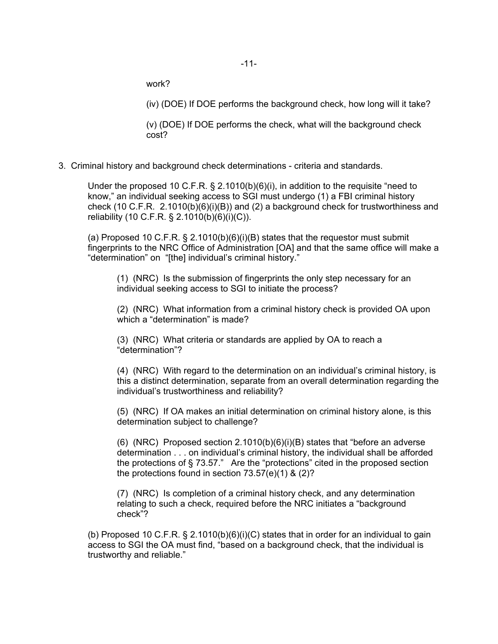work?

(iv) (DOE) If DOE performs the background check, how long will it take?

(v) (DOE) If DOE performs the check, what will the background check cost?

3. Criminal history and background check determinations - criteria and standards.

Under the proposed 10 C.F.R.  $\S$  2.1010(b)(6)(i), in addition to the requisite "need to know," an individual seeking access to SGI must undergo (1) a FBI criminal history check (10 C.F.R. 2.1010(b)(6)(i)(B)) and (2) a background check for trustworthiness and reliability (10 C.F.R. § 2.1010(b)(6)(i)(C)).

(a) Proposed 10 C.F.R. § 2.1010(b)(6)(i)(B) states that the requestor must submit fingerprints to the NRC Office of Administration [OA] and that the same office will make a "determination" on "[the] individual's criminal history."

(1) (NRC) Is the submission of fingerprints the only step necessary for an individual seeking access to SGI to initiate the process?

(2) (NRC) What information from a criminal history check is provided OA upon which a "determination" is made?

(3) (NRC) What criteria or standards are applied by OA to reach a "determination"?

(4) (NRC) With regard to the determination on an individual's criminal history, is this a distinct determination, separate from an overall determination regarding the individual's trustworthiness and reliability?

(5) (NRC) If OA makes an initial determination on criminal history alone, is this determination subject to challenge?

(6) (NRC) Proposed section  $2.1010(b)(6)(i)(B)$  states that "before an adverse determination . . . on individual's criminal history, the individual shall be afforded the protections of § 73.57." Are the "protections" cited in the proposed section the protections found in section 73.57(e)(1) & (2)?

(7) (NRC) Is completion of a criminal history check, and any determination relating to such a check, required before the NRC initiates a "background check"?

(b) Proposed 10 C.F.R.  $\S$  2.1010(b)(6)(i)(C) states that in order for an individual to gain access to SGI the OA must find, "based on a background check, that the individual is trustworthy and reliable."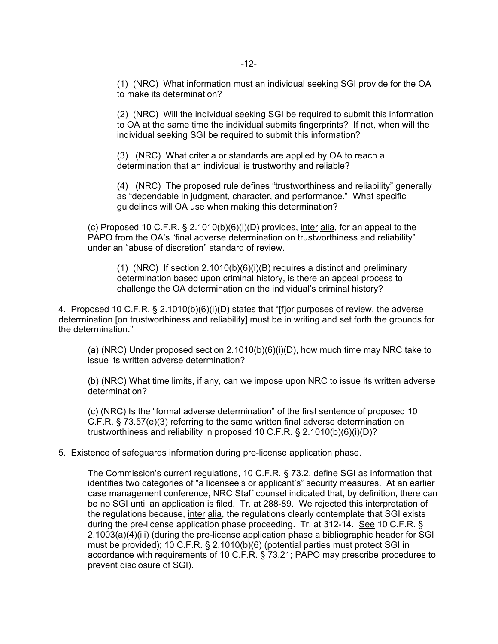(1) (NRC) What information must an individual seeking SGI provide for the OA to make its determination?

(2) (NRC) Will the individual seeking SGI be required to submit this information to OA at the same time the individual submits fingerprints? If not, when will the individual seeking SGI be required to submit this information?

(3) (NRC) What criteria or standards are applied by OA to reach a determination that an individual is trustworthy and reliable?

(4) (NRC) The proposed rule defines "trustworthiness and reliability" generally as "dependable in judgment, character, and performance." What specific guidelines will OA use when making this determination?

(c) Proposed 10 C.F.R. § 2.1010(b)(6)(i)(D) provides, inter alia, for an appeal to the PAPO from the OA's "final adverse determination on trustworthiness and reliability" under an "abuse of discretion" standard of review.

(1) (NRC) If section  $2.1010(b)(6)(i)(B)$  requires a distinct and preliminary determination based upon criminal history, is there an appeal process to challenge the OA determination on the individual's criminal history?

4. Proposed 10 C.F.R. § 2.1010(b)(6)(i)(D) states that "[f]or purposes of review, the adverse determination [on trustworthiness and reliability] must be in writing and set forth the grounds for the determination."

(a) (NRC) Under proposed section  $2.1010(b)(6)(i)(D)$ , how much time may NRC take to issue its written adverse determination?

(b) (NRC) What time limits, if any, can we impose upon NRC to issue its written adverse determination?

(c) (NRC) Is the "formal adverse determination" of the first sentence of proposed 10 C.F.R. § 73.57(e)(3) referring to the same written final adverse determination on trustworthiness and reliability in proposed 10 C.F.R. § 2.1010(b)(6)(i)(D)?

#### 5. Existence of safeguards information during pre-license application phase.

The Commission's current regulations, 10 C.F.R. § 73.2, define SGI as information that identifies two categories of "a licensee's or applicant's" security measures. At an earlier case management conference, NRC Staff counsel indicated that, by definition, there can be no SGI until an application is filed. Tr. at 288-89. We rejected this interpretation of the regulations because, inter alia, the regulations clearly contemplate that SGI exists during the pre-license application phase proceeding. Tr. at 312-14. See 10 C.F.R. § 2.1003(a)(4)(iii) (during the pre-license application phase a bibliographic header for SGI must be provided); 10 C.F.R. § 2.1010(b)(6) (potential parties must protect SGI in accordance with requirements of 10 C.F.R. § 73.21; PAPO may prescribe procedures to prevent disclosure of SGI).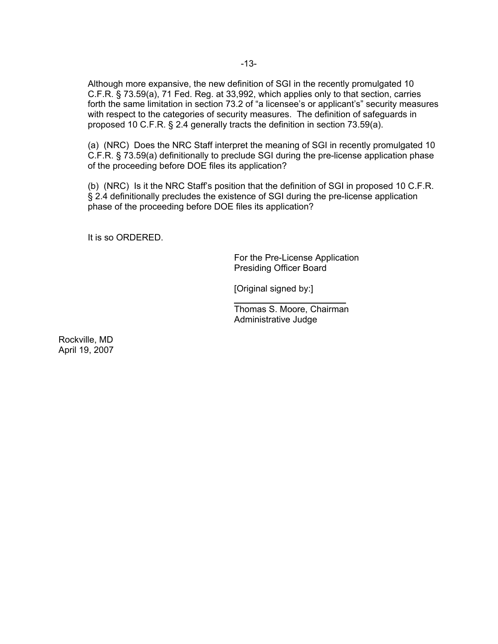Although more expansive, the new definition of SGI in the recently promulgated 10 C.F.R. § 73.59(a), 71 Fed. Reg. at 33,992, which applies only to that section, carries forth the same limitation in section 73.2 of "a licensee's or applicant's" security measures with respect to the categories of security measures. The definition of safeguards in proposed 10 C.F.R. § 2.4 generally tracts the definition in section 73.59(a).

(a) (NRC) Does the NRC Staff interpret the meaning of SGI in recently promulgated 10 C.F.R. § 73.59(a) definitionally to preclude SGI during the pre-license application phase of the proceeding before DOE files its application?

(b) (NRC) Is it the NRC Staff's position that the definition of SGI in proposed 10 C.F.R. § 2.4 definitionally precludes the existence of SGI during the pre-license application phase of the proceeding before DOE files its application?

It is so ORDERED.

For the Pre-License Application Presiding Officer Board

[Original signed by:]

 $\overline{a}$ 

Thomas S. Moore, Chairman Administrative Judge

Rockville, MD April 19, 2007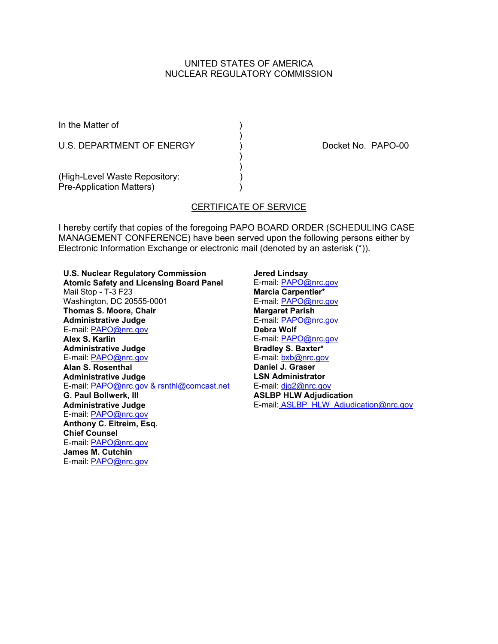# UNITED STATES OF AMERICA NUCLEAR REGULATORY COMMISSION

In the Matter of (1)

U.S. DEPARTMENT OF ENERGY (a) CONSIDERING RAPO-00

(High-Level Waste Repository: Pre-Application Matters) (1999)

# CERTIFICATE OF SERVICE

)

 ) )

I hereby certify that copies of the foregoing PAPO BOARD ORDER (SCHEDULING CASE MANAGEMENT CONFERENCE) have been served upon the following persons either by Electronic Information Exchange or electronic mail (denoted by an asterisk (\*)).

**U.S. Nuclear Regulatory Commission Atomic Safety and Licensing Board Panel** Mail Stop - T-3 F23 Washington, DC 20555-0001 **Thomas S. Moore, Chair Administrative Judge** E-mail: PAPO@nrc.gov **Alex S. Karlin Administrative Judge** E-mail: PAPO@nrc.gov **Alan S. Rosenthal Administrative Judge** E-mail: PAPO@nrc.gov & rsnthl@comcast.net **G. Paul Bollwerk, III Administrative Judge** E-mail: PAPO@nrc.gov **Anthony C. Eitreim, Esq. Chief Counsel** E-mail: PAPO@nrc.gov **James M. Cutchin** E-mail: PAPO@nrc.gov

**Jered Lindsay** E-mail: PAPO@nrc.gov **Marcia Carpentier\*** E-mail: PAPO@nrc.gov **Margaret Parish** E-mail: PAPO@nrc.gov **Debra Wolf** E-mail: PAPO@nrc.gov **Bradley S. Baxter\*** E-mail: bxb@nrc.gov **Daniel J. Graser LSN Administrator** E-mail: djg2@nrc.gov **ASLBP HLW Adjudication** E-mail: ASLBP\_HLW\_Adjudication@nrc.gov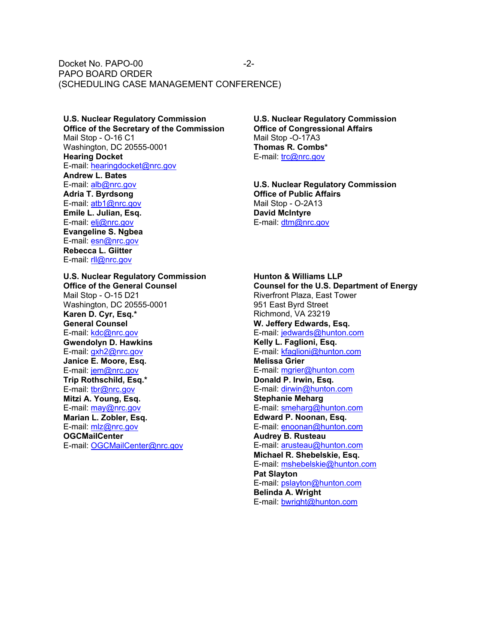Docket No. PAPO-00 PAPO BOARD ORDER (SCHEDULING CASE MANAGEMENT CONFERENCE) -2-

**U.S. Nuclear Regulatory Commission Office of the Secretary of the Commission** Mail Stop - O-16 C1 Washington, DC 20555-0001 **Hearing Docket** E-mail: hearingdocket@nrc.gov **Andrew L. Bates** E-mail: alb@nrc.gov **Adria T. Byrdsong** E-mail: atb1@nrc.gov **Emile L. Julian, Esq.** E-mail: elj@nrc.gov **Evangeline S. Ngbea** E-mail: esn@nrc.gov **Rebecca L. Giitter** E-mail: rll@nrc.gov

**U.S. Nuclear Regulatory Commission Office of the General Counsel** Mail Stop - O-15 D21 Washington, DC 20555-0001 **Karen D. Cyr, Esq.\* General Counsel** E-mail: kdc@nrc.gov **Gwendolyn D. Hawkins** E-mail: gxh2@nrc.gov **Janice E. Moore, Esq.** E-mail: jem@nrc.gov **Trip Rothschild, Esq.\*** E-mail: tbr@nrc.gov **Mitzi A. Young, Esq.** E-mail: may@nrc.gov **Marian L. Zobler, Esq.** E-mail: mlz@nrc.gov **OGCMailCenter** E-mail: OGCMailCenter@nrc.gov

**U.S. Nuclear Regulatory Commission Office of Congressional Affairs** Mail Stop -O-17A3 **Thomas R. Combs\*** E-mail: trc@nrc.gov

**U.S. Nuclear Regulatory Commission Office of Public Affairs** Mail Stop - O-2A13 **David McIntyre** E-mail: dtm@nrc.gov

**Hunton & Williams LLP Counsel for the U.S. Department of Energy** Riverfront Plaza, East Tower 951 East Byrd Street Richmond, VA 23219 **W. Jeffery Edwards, Esq.** E-mail: jedwards@hunton.com **Kelly L. Faglioni, Esq.** E-mail: kfaglioni@hunton.com **Melissa Grier** E-mail: mgrier@hunton.com **Donald P. Irwin, Esq.** E-mail: dirwin@hunton.com **Stephanie Meharg** E-mail: smeharg@hunton.com **Edward P. Noonan, Esq.** E-mail: enoonan@hunton.com **Audrey B. Rusteau** E-mail: arusteau@hunton.com **Michael R. Shebelskie, Esq.** E-mail: mshebelskie@hunton.com **Pat Slayton** E-mail: pslayton@hunton.com **Belinda A. Wright** E-mail: bwright@hunton.com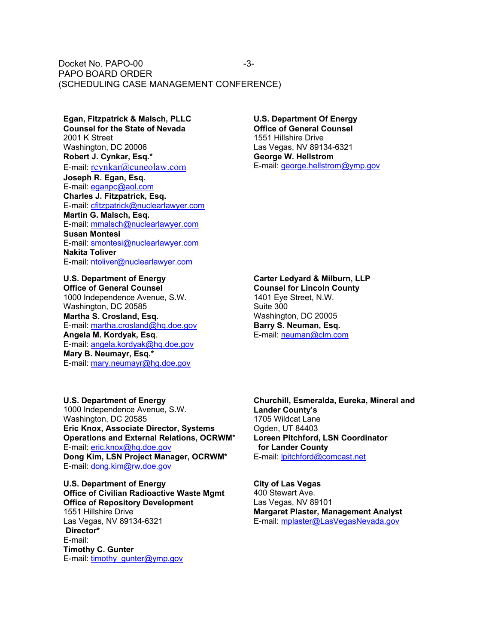Docket No. PAPO-00 PAPO BOARD ORDER (SCHEDULING CASE MANAGEMENT CONFERENCE) -3-

# **Egan, Fitzpatrick & Malsch, PLLC**

**Counsel for the State of Nevada** 2001 K Street Washington, DC 20006 **Robert J. Cynkar, Esq.\*** E-mail: rcynkar@cuneolaw.com **Joseph R. Egan, Esq.** E-mail: eganpc@aol.com **Charles J. Fitzpatrick, Esq.** E-mail: cfitzpatrick@nuclearlawyer.com **Martin G. Malsch, Esq.** E-mail: mmalsch@nuclearlawyer.com **Susan Montesi** E-mail: smontesi@nuclearlawyer.com **Nakita Toliver** E-mail: ntoliver@nuclearlawyer.com

**U.S. Department of Energy Office of General Counsel** 1000 Independence Avenue, S.W. Washington, DC 20585 **Martha S. Crosland, Esq.** E-mail: martha.crosland@hq.doe.gov **Angela M. Kordyak, Esq**. E-mail: angela.kordyak@hq.doe.gov **Mary B. Neumayr, Esq.\*** E-mail: mary.neumayr@hg.doe.gov

#### **U.S. Department Of Energy Office of General Counsel**

1551 Hillshire Drive Las Vegas, NV 89134-6321 **George W. Hellstrom** E-mail: george.hellstrom@ymp.gov

#### **Carter Ledyard & Milburn, LLP**

**Counsel for Lincoln County** 1401 Eye Street, N.W. Suite 300 Washington, DC 20005 **Barry S. Neuman, Esq.** E-mail: neuman@clm.com

**U.S. Department of Energy** 1000 Independence Avenue, S.W. Washington, DC 20585 **Eric Knox, Associate Director, Systems Operations and External Relations, OCRWM**\* E-mail: eric.knox@hq.doe.gov **Dong Kim, LSN Project Manager, OCRWM\*** E-mail: dong.kim@rw.doe.gov

**U.S. Department of Energy Office of Civilian Radioactive Waste Mgmt Office of Repository Development** 1551 Hillshire Drive Las Vegas, NV 89134-6321  **Director\*** E-mail: **Timothy C. Gunter** E-mail: timothy\_gunter@ymp.gov

**Churchill, Esmeralda, Eureka, Mineral and Lander County's** 1705 Wildcat Lane Ogden, UT 84403 **Loreen Pitchford, LSN Coordinator for Lander County** E-mail: lpitchford@comcast.net

**City of Las Vegas** 400 Stewart Ave. Las Vegas, NV 89101 **Margaret Plaster, Management Analyst** E-mail: mplaster@LasVegasNevada.gov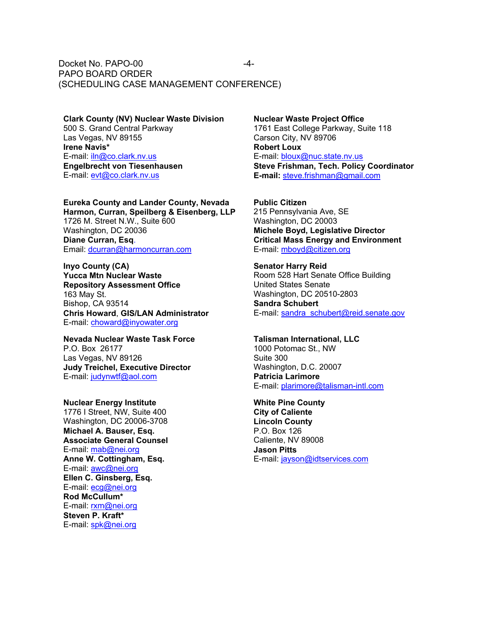#### Docket No. PAPO-00 PAPO BOARD ORDER (SCHEDULING CASE MANAGEMENT CONFERENCE) -4-

**Clark County (NV) Nuclear Waste Division** 500 S. Grand Central Parkway Las Vegas, NV 89155 **Irene Navis\*** E-mail: iln@co.clark.nv.us **Engelbrecht von Tiesenhausen** E-mail: evt@co.clark.nv.us

**Eureka County and Lander County, Nevada Harmon, Curran, Speilberg & Eisenberg, LLP** 1726 M. Street N.W., Suite 600 Washington, DC 20036 **Diane Curran, Esq**. Email: dcurran@harmoncurran.com

**Inyo County (CA) Yucca Mtn Nuclear Waste Repository Assessment Office** 163 May St. Bishop, CA 93514 **Chris Howard**, **GIS/LAN Administrator** E-mail: choward@inyowater.org

**Nevada Nuclear Waste Task Force** P.O. Box 26177 Las Vegas, NV 89126 **Judy Treichel, Executive Director** E-mail: judynwtf@aol.com

**Nuclear Energy Institute** 1776 I Street, NW, Suite 400 Washington, DC 20006-3708 **Michael A. Bauser, Esq. Associate General Counsel** E-mail: mab@nei.org **Anne W. Cottingham, Esq.** E-mail: awc@nei.org **Ellen C. Ginsberg, Esq.** E-mail: ecg@nei.org **Rod McCullum\*** E-mail: rxm@nei.org **Steven P. Kraft\*** E-mail: spk@nei.org

**Nuclear Waste Project Office** 1761 East College Parkway, Suite 118 Carson City, NV 89706 **Robert Loux** E-mail: bloux@nuc.state.nv.us **Steve Frishman, Tech. Policy Coordinator E-mail:** steve.frishman@gmail.com

**Public Citizen** 215 Pennsylvania Ave, SE Washington, DC 20003 **Michele Boyd, Legislative Director Critical Mass Energy and Environment** E-mail: mboyd@citizen.org

**Senator Harry Reid** Room 528 Hart Senate Office Building United States Senate Washington, DC 20510-2803 **Sandra Schubert** E-mail: sandra\_schubert@reid.senate.gov

**Talisman International, LLC** 1000 Potomac St., NW Suite 300 Washington, D.C. 20007 **Patricia Larimore** E-mail: plarimore@talisman-intl.com

**White Pine County City of Caliente Lincoln County** P.O. Box 126 Caliente, NV 89008 **Jason Pitts** E-mail: jayson@idtservices.com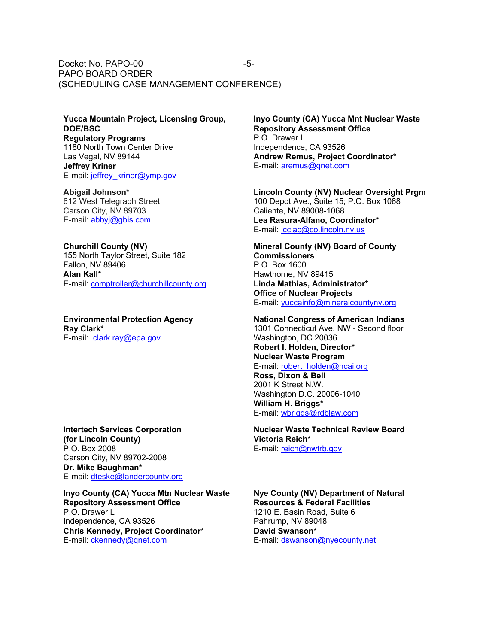Docket No. PAPO-00 PAPO BOARD ORDER (SCHEDULING CASE MANAGEMENT CONFERENCE) -5-

**Yucca Mountain Project, Licensing Group, DOE/BSC Regulatory Programs** 1180 North Town Center Drive Las Vegal, NV 89144 **Jeffrey Kriner** E-mail: jeffrey\_kriner@ymp.gov

**Abigail Johnson\*** 612 West Telegraph Street Carson City, NV 89703 E-mail: abbyj@gbis.com

**Churchill County (NV)** 155 North Taylor Street, Suite 182 Fallon, NV 89406 **Alan Kall\*** E-mail: comptroller@churchillcounty.org

**Environmental Protection Agency Ray Clark\*** E-mail: clark.ray@epa.gov

**Intertech Services Corporation (for Lincoln County)** P.O. Box 2008 Carson City, NV 89702-2008 **Dr. Mike Baughman\*** E-mail: dteske@landercounty.org

**Inyo County (CA) Yucca Mtn Nuclear Waste Repository Assessment Office** P.O. Drawer L Independence, CA 93526 **Chris Kennedy, Project Coordinator\*** E-mail: ckennedy@qnet.com

**Inyo County (CA) Yucca Mnt Nuclear Waste Repository Assessment Office** P.O. Drawer L Independence, CA 93526 **Andrew Remus, Project Coordinator\*** E-mail: aremus@qnet.com

**Lincoln County (NV) Nuclear Oversight Prgm** 100 Depot Ave., Suite 15; P.O. Box 1068 Caliente, NV 89008-1068 **Lea Rasura-Alfano, Coordinator\*** E-mail: jcciac@co.lincoln.nv.us

**Mineral County (NV) Board of County Commissioners** P.O. Box 1600 Hawthorne, NV 89415 **Linda Mathias, Administrator\* Office of Nuclear Projects** E-mail: yuccainfo@mineralcountynv.org

**National Congress of American Indians** 1301 Connecticut Ave. NW - Second floor Washington, DC 20036 **Robert I. Holden, Director\* Nuclear Waste Program** E-mail: robert\_holden@ncai.org **Ross, Dixon & Bell**

2001 K Street N.W. Washington D.C. 20006-1040 **William H. Briggs\*** E-mail: wbriggs@rdblaw.com

**Nuclear Waste Technical Review Board Victoria Reich\*** E-mail: reich@nwtrb.gov

**Nye County (NV) Department of Natural Resources & Federal Facilities** 1210 E. Basin Road, Suite 6 Pahrump, NV 89048 **David Swanson\*** E-mail: dswanson@nyecounty.net